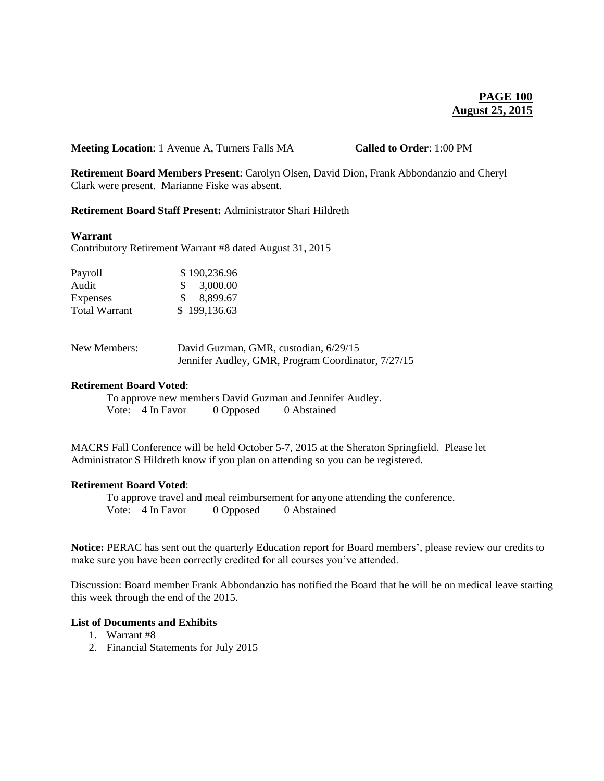**Meeting Location**: 1 Avenue A, Turners Falls MA **Called to Order**: 1:00 PM

**Retirement Board Members Present**: Carolyn Olsen, David Dion, Frank Abbondanzio and Cheryl Clark were present. Marianne Fiske was absent.

# **Retirement Board Staff Present:** Administrator Shari Hildreth

#### **Warrant**

Contributory Retirement Warrant #8 dated August 31, 2015

| Payroll              | \$190,236.96              |
|----------------------|---------------------------|
| Audit                | 3,000.00<br>SS.           |
| Expenses             | 8,899.67<br>$\mathcal{S}$ |
| <b>Total Warrant</b> | \$199,136.63              |

| New Members: | David Guzman, GMR, custodian, 6/29/15              |
|--------------|----------------------------------------------------|
|              | Jennifer Audley, GMR, Program Coordinator, 7/27/15 |

# **Retirement Board Voted**:

To approve new members David Guzman and Jennifer Audley. Vote:  $\frac{4 \text{ In} \text{ Favor}}{2 \text{ Opposed}}$  0 Abstained

MACRS Fall Conference will be held October 5-7, 2015 at the Sheraton Springfield. Please let Administrator S Hildreth know if you plan on attending so you can be registered.

#### **Retirement Board Voted**:

To approve travel and meal reimbursement for anyone attending the conference. Vote: 4 In Favor 0 Opposed 0 Abstained

**Notice:** PERAC has sent out the quarterly Education report for Board members', please review our credits to make sure you have been correctly credited for all courses you've attended.

Discussion: Board member Frank Abbondanzio has notified the Board that he will be on medical leave starting this week through the end of the 2015.

### **List of Documents and Exhibits**

- 1. Warrant #8
- 2. Financial Statements for July 2015